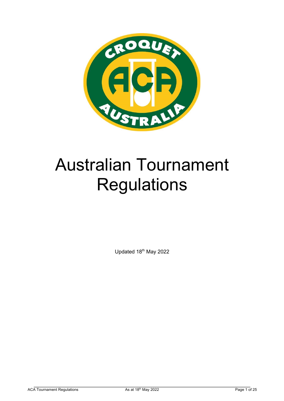

# Australian Tournament **Regulations**

Updated 18<sup>th</sup> May 2022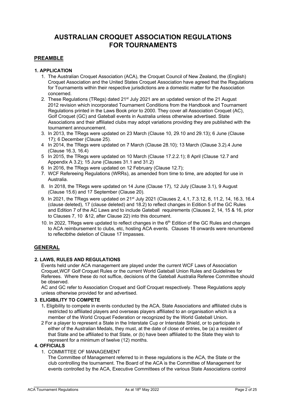# **AUSTRALIAN CROQUET ASSOCIATION REGULATIONS FOR TOURNAMENTS**

## **PREAMBLE**

## **1. APPLICATION**

- 1. The Australian Croquet Association (ACA), the Croquet Council of New Zealand, the (English) Croquet Association and the United States Croquet Association have agreed that the Regulations for Tournaments within their respective jurisdictions are a domestic matter for the Association concerned.
- 2. These Regulations (TRegs) dated 21<sup>st</sup> July 2021 are an updated version of the 21 August 2012 revision which incorporated Tournament Conditions from the Handbook and Tournament Regulations printed in the Laws Book prior to 2000. They cover all Association Croquet (AC), Golf Croquet (GC) and Gateball events in Australia unless otherwise advertised. State Associations and their affiliated clubs may adopt variations providing they are published with the tournament announcement.
- 3. In 2013, the TRegs were updated on 23 March (Clause 10, 29.10 and 29.13); 6 June (Clause 17); 6 December (Clause 25).
- 4 In 2014, the TRegs were updated on 7 March (Clause 28.10); 13 March (Clause 3.2).4 June (Clause 16.3, 16.4)
- 5 In 2015, the TRegs were updated on 10 March (Clause 17.2.2.1); 8 April (Clause 12.7 and Appendix A 3.2); 15 June (Clauses 31.1 and 31.2)
- 6 In 2016, the TRegs were updated on 12 February (Clause 12.7);
- 7. WCF Refereeing Regulations (WRRs), as amended from time to time, are adopted for use in Australia.
- 8. In 2018, the TRegs were updated on 14 June (Clause 17), 12 July (Clause 3.1), 9 August (Clause 15.6) and 17 September (Clause 20).
- 9. In 2021, the TRegs were updated on 21<sup>st</sup> July 2021 (Clauses 2, 4.1, 7.3.12, 8, 11.2, 14, 16.3, 16.4 (clause deleted), 17 (clause deleted) and 18.2) to reflect changes in Edition 5 of the GC Rules and Edition 7 of the AC Laws and to include Gateball requirements (Clauses 2, 14, 15 & 16, prior to Clauses 7, 10 &12, after Clause 22) into this document.
- 10. In 2022, TRegs were updated to reflect changes in the 6<sup>th</sup> Edition of the GC Rules and changes to ACA reimbursement to clubs, etc, hosting ACA events. Clauses 18 onwards were renumbered to reflectbthe deletion of Clause 17 Impasses.

## **GENERAL**

## **2. LAWS, RULES AND REGULATIONS**

Events held under ACA management are played under the current WCF Laws of Association Croquet,WCF Golf Croquet Rules or the current World Gateball Union Rules and Guidelines for Referees. Where these do not suffice, decisions of the Gateball Australia Referee Committee should be observed.

AC and GC refer to Association Croquet and Golf Croquet respectively. These Regulations apply unless otherwise provided for and advertised.

## **3**. **ELIGIBILITY TO COMPETE**

- 1**.** Eligibility to compete in events conducted by the ACA, State Associations and affiliated clubs is restricted to affiliated players and overseas players affiliated to an organisation which is a member of the World Croquet Federation or recognized by the World Gateball Union**.**
- 2 For a player to represent a State in the Interstate Cup or Interstate Shield, or to participate in either of the Australian Medals, they must, at the date of close of entries, be (a) a resident of that State and be affiliated to that State, or (b) have been affiliated to the State they wish to represent for a minimum of twelve (12) months.

## **4. OFFICIALS**

1. COMMITTEE OF MANAGEMENT

The Committee of Management referred to in these regulations is the ACA, the State or the club controlling the tournament. The Board of the ACA is the Committee of Management for events controlled by the ACA, Executive Committees of the various State Associations control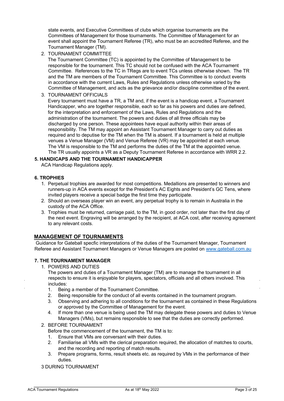state events, and Executive Committees of clubs which organise tournaments are the Committees of Management for those tournaments. The Committee of Management for an event shall appoint the Tournament Referee (TR), who must be an accredited Referee, and the Tournament Manager (TM).

2. TOURNAMENT COMMITTEE

The Tournament Committee (TC) is appointed by the Committee of Management to be responsible for the tournament. This TC should not be confused with the ACA Tournament Committee. References to the TC in TRegs are to event TCs unless otherwise shown. The TR and the TM are members of the Tournament Committee. This Committee is to conduct events in accordance with the current Laws, Rules and Regulations unless otherwise varied by the Committee of Management, and acts as the grievance and/or discipline committee of the event.

3. TOURNAMENT OFFICIALS

Every tournament must have a TR, a TM and, if the event is a handicap event, a Tournament Handicapper, who are together responsible, each so far as his powers and duties are defined, for the interpretation and enforcement of the Laws, Rules and Regulations and the administration of the tournament. The powers and duties of all three officials may be discharged by one person. These appointees have equal authority within their areas of responsibility. The TM may appoint an Assistant Tournament Manager to carry out duties as required and to deputise for the TM when the TM is absent. If a tournament is held at multiple venues a Venue Manager (VM) and Venue Referee (VR) may be appointed at each venue. The VM is responsible to the TM and performs the duties of the TM at the appointed venue. The TR usually appoints a VR as a Deputy Tournament Referee in accordance with WRR 2.2.

## **5. HANDICAPS AND THE TOURNAMENT HANDICAPPER**

ACA Handicap Regulations apply.

#### **6. TROPHIES**

- 1. Perpetual trophies are awarded for most competitions. Medallions are presented to winners and runners-up in ACA events except for the President's AC Eights and President's GC Tens, where invited players receive a special badge the first time they participate.
- 2. Should an overseas player win an event, any perpetual trophy is to remain in Australia in the custody of the ACA Office.
- 3. Trophies must be returned, carriage paid, to the TM, in good order, not later than the first day of the next event. Engraving will be arranged by the recipient, at ACA cost, after receiving agreement to any relevant costs.

## **MANAGEMENT OF TOURNAMENTS**

Guidance for Gateball specfic interpretations of the duties of the Tournament Manager, Tournament Referee and Assistant Tournament Managers or Venue Managers are posted on www.gateball.com.au

#### **7. THE TOURNAMENT MANAGER**

1. POWERS AND DUTIES

The powers and duties of a Tournament Manager (TM) are to manage the tournament in all respects to ensure it is enjoyable for players, spectators, officials and all others involved. This includes:

- 1. Being a member of the Tournament Committee.
- 2. Being responsible for the conduct of all events contained in the tournament program.
- 3. Observing and adhering to all conditions for the tournament as contained in these Regulations or approved by the Committee of Management for the event.
- 4. If more than one venue is being used the TM may delegate these powers and duties to Venue Managers (VMs), but remains responsible to see that the duties are correctly performed.

#### 2. BEFORE TOURNAMENT

- Before the commencement of the tournament, the TM is to:
- 1. Ensure that VMs are conversant with their duties.
- 2. Familiarise all VMs with the clerical preparation required, the allocation of matches to courts, and the recording and reporting of match results.
- 3. Prepare programs, forms, result sheets etc. as required by VMs in the performance of their duties.

#### 3 DURING TOURNAMENT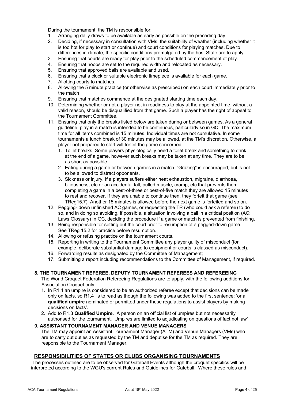During the tournament, the TM is responsible for:

- 1. Arranging daily draws to be available as early as possible on the preceding day.
- 2. Deciding, if necessary in consultation with VMs, the suitability of weather (including whether it is too hot for play to start or continue) and court conditions for playing matches. Due to differences in climate, the specific conditions promulgated by the host State are to apply.
- 3. Ensuring that courts are ready for play prior to the scheduled commencement of play.
- 4. Ensuring that hoops are set to the required width and relocated as necessary.
- 5. Ensuring that approved balls are available and used.
- 6. Ensuring that a clock or suitable electronic timepiece is available for each game.
- 7. Allotting courts to matches.
- 8. Allowing the 5 minute practice (or otherwise as prescribed) on each court immediately prior to the match
- 9. Ensuring that matches commence at the designated starting time each day.
- 10. Determining whether or not a player not in readiness to play at the appointed time, without a valid reason, should be disqualified from that game. Such a player has the right of appeal to the Tournament Committee.
- 11. Ensuring that only the breaks listed below are taken during or between games. As a general guideline, play in a match is intended to be continuous, particularly so in GC. The maximum time for all items combined is 15 minutes. Individual times are not cumulative. In some tournaments a lunch break of 30 minutes may be allowed, at the TM's discretion. Otherwise, a player not prepared to start will forfeit the game concerned.
	- 1. Toilet breaks. Some players physiologically need a toilet break and something to drink at the end of a game, however such breaks may be taken at any time. They are to be as short as possible.
	- 2. Eating during a game or between games in a match. "Grazing" is encouraged, but is not to be allowed to distract opponents.
	- 3. Sickness or injury. If a players suffers either heat exhaustion, migraine, diarrhoea, biliousness, etc or an accidental fall, pulled muscle, cramp, etc that prevents them completing a game in a best-of-three or best-of-five match they are allowed 15 minutes to rest and recover. If they are unable to continue then, they forfeit that game (see TReg15.7). Another 15 minutes is allowed before the next game is forfeited and so on.
- 12. Pegging- down unfinished AC games, or requesting the TR (who could ask a referee) to do so, and in doing so avoiding, if possible, a situation involving a ball in a critical position (AC: Laws Glossary) In GC, deciding the procedure if a game or match is prevented from finishing.
- 13. Being responsible for setting out the court prior to resumption of a pegged-down game. See TReg 15.2 for practice before resumption.
- 14. Allowing or refusing practice on the tournament courts.
- 15. Reporting in writing to the Tournament Committee any player guilty of misconduct (for example, deliberate substantial damage to equipment or courts is classed as misconduct).
- 16. Forwarding results as designated by the Committee of Management;
- 17. Submitting a report including recommendations to the Committee of Management, if required.

## **8. THE TOURNAMENT REFEREE, DEPUTY TOURNAMENT REFEREES AND REFEREEING**

The World Croquet Federation Refereeing Regulations are to apply, with the following additions for Association Croquet only.

- 1. In R1.4 an umpire is considered to be an authorized referee except that decisions can be made only on facts, so R1.4 is to read as though the following was added to the first sentence: 'or a **qualified umpire** nominated or permitted under these regulations to assist players by making decisions on facts'.
- 2. Add to R1.3 **Qualified Umpire**. A person on an official list of umpires but not necessarily authorised for the tournament. Umpires are limited to adjudicating on questions of fact not law'

## **9. ASSISTANT TOURNAMENT MANAGER AND VENUE MANAGERS**

The TM may appoint an Assistant Tournament Manager (ATM) and Venue Managers (VMs) who are to carry out duties as requested by the TM and deputise for the TM as required. They are responsible to the Tournament Manager.

## **RESPONSIBILITIES OF STATES OR CLUBS ORGANISING TOURNAMENTS**

The processes outlined are to be observed for Gateball Events although the croquet specifics will be interpreted according to the WGU's current Rules and Guidelines for Gateball. Where these rules and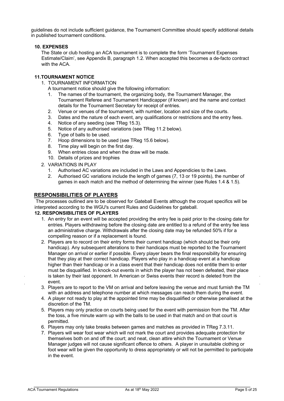guidelines do not include sufficient guidance, the Tournament Committee should specify additional details in published tournament conditions.

## **10. EXPENSES**

The State or club hosting an ACA tournament is to complete the form 'Tournament Expenses Estimate/Claim', see Appendix B, paragraph 1.2. When accepted this becomes a de-facto contract with the ACA.

## **11.TOURNAMENT NOTICE**

- 1. TOURNAMENT INFORMATION
	- A tournament notice should give the following information:
	- 1. The names of the tournament, the organizing body, the Tournament Manager, the Tournament Referee and Tournament Handicapper (if known) and the name and contact details for the Tournament Secretary for receipt of entries.
	- 2. Venue or venues of the tournament, with number, location and size of the courts.
	- 3. Dates and the nature of each event, any qualifications or restrictions and the entry fees.
	- 4. Notice of any seeding (see TReg 15.3).
	- 5. Notice of any authorised variations (see TReg 11.2 below).
	- 6. Type of balls to be used.
	- 7. Hoop dimensions to be used (see TReg 15.6 below).
	- 8. Time play will begin on the first day.
	- 9. When entries close and when the draw will be made.
	- 10. Details of prizes and trophies
- 2. VARIATIONS IN PLAY
	- 1. Authorised AC variations are included in the Laws and Appendicies to the Laws.
	- 2. Authorised GC variations include the length of games (7, 13 or 19 points), the number of games in each match and the method of determining the winner (see Rules 1.4 & 1.5).

## **RESPONSIBILITIES OF PLAYERS**

The processes outlined are to be observed for Gateball Events although the croquet specifics will be interpreted according to the WGU's current Rules and Guidelines for gateball.

#### **12. RESPONSIBILITIES OF PLAYERS**

- 1. An entry for an event will be accepted providing the entry fee is paid prior to the closing date for entries. Players withdrawing before the closing date are entitled to a refund of the entry fee less an administrative charge. Withdrawals after the closing date may be refunded 50% if for a compelling reason or if a replacement is found.
- 2. Players are to record on their entry forms their current handicap (which should be their only handicap). Any subsequent alterations to their handicaps must be reported to the Tournament Manager on arrival or earlier if possible. Every player bears the final responsibility for ensuring that they play at their correct handicap. Players who play in a handicap event at a handicap higher than their handicap or in a class event that their handicap does not entitle them to enter must be disqualified. In knock-out events in which the player has not been defeated, their place is taken by their last opponent. In American or Swiss events their record is deleted from the event.
- 3. Players are to report to the VM on arrival and before leaving the venue and must furnish the TM with an address and telephone number at which messages can reach them during the event.
- 4. A player not ready to play at the appointed time may be disqualified or otherwise penalised at the discretion of the TM.
- 5. Players may only practice on courts being used for the event with permission from the TM. After the toss, a five minute warm up with the balls to be used in that match and on that court is permitted.
- 6. Players may only take breaks between games and matches as provided in TReg 7.3.11.
- 7. Players will wear foot wear which will not mark the court and provides adequate protection for themselves both on and off the court; and neat, clean attire which the Tournament or Venue Manager judges will not cause significant offence to others. A player in unsuitable clothing or foot wear will be given the opportunity to dress appropriately or will not be permitted to participate in the event.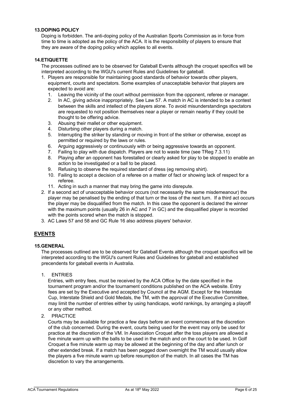## **13.DOPING POLICY**

Doping is forbidden. The anti-doping policy of the Australian Sports Commission as in force from time to time is adopted as the policy of the ACA. It is the responsibility of players to ensure that they are aware of the doping policy which applies to all events.

## **14.ETIQUETTE**

The processes outlined are to be observed for Gateball Events although the croquet specifics will be interpreted according to the WGU's current Rules and Guidelines for gateball.

- 1. Players are responsible for maintaining good standards of behavior towards other players, equipment, courts and spectators. Some examples of unacceptable behavior that players are expected to avoid are:
	- 1. Leaving the vicinity of the court without permission from the opponent, referee or manager.
	- 2. In AC, giving advice inappropriately. See Law 57. A match in AC is intended to be a contest between the skills and intellect of the players alone. To avoid misunderstandings spectators are requested to not position themselves near a player or remain nearby if they could be thought to be offering advice.
	- 3. Abusing their mallet or other equipment.
	- 4. Disturbing other players during a match.
	- 5. Interrupting the striker by standing or moving in front of the striker or otherwise, except as permitted or required by the laws or rules.
	- 6. Arguing aggressively or continuously with or being aggressive towards an opponent.
	- 7. Failing to play with due dispatch. Players are not to waste time (see TReg 7.3.11)
	- 8. Playing after an opponent has forestalled or clearly asked for play to be stopped to enable an action to be investigated or a ball to be placed.
	- 9. Refusing to observe the required standard of dress (eg removing shirt).
	- 10. Failing to accept a decision of a referee on a matter of fact or showing lack of respect for a referee.
	- 11. Acting in such a manner that may bring the game into disrepute.
- 2. If a second act of unacceptable behavior occurs (not necessarily the same misdemeanour) the player may be penalised by the ending of that turn or the loss of the next turn. If a third act occurs the player may be disqualified from the match. In this case the opponent is declared the winner with the maximum points (usually 26 in AC and 7 in GC) and the disqualified player is recorded with the points scored when the match is stopped.
- 3. AC Laws 57 and 58 and GC Rule 16 also address players' behavior.

## **EVENTS**

## **15.GENERAL**

The processes outlined are to be observed for Gateball Events although the croquet specifics will be interpreted according to the WGU's current Rules and Guidelines for gateball and established precendents for gateball events in Australia.

1. ENTRIES

Entries, with entry fees, must be received by the ACA Office by the date specified in the tournament program and/or the tournament conditions published on the ACA website. Entry fees are set by the Executive and accepted by Council at the AGM. Except for the Interstate Cup, Interstate Shield and Gold Medals, the TM, with the approval of the Executive Committee, may limit the number of entries either by using handicaps, world rankings, by arranging a playoff or any other method.

2. PRACTICE

Courts may be available for practice a few days before an event commences at the discretion of the club concerned. During the event, courts being used for the event may only be used for practice at the discretion of the VM. In Association Croquet after the toss players are allowed a five minute warm up with the balls to be used in the match and on the court to be used. In Golf Croquet a five minute warm up may be allowed at the beginning of the day and after lunch or other extended break. If a match has been pegged down overnight the TM would usually allow the players a five minute warm up before resumption of the match. In all cases the TM has discretion to vary the arrangements.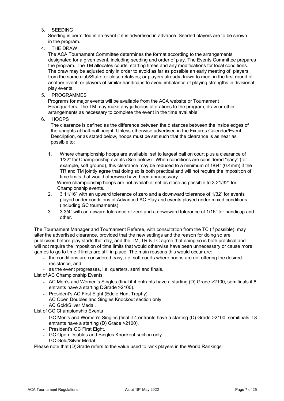3. SEEDING

Seeding is permitted in an event if it is advertised in advance. Seeded players are to be shown in the program.

4. THE DRAW

The ACA Tournament Committee determines the format according to the arrangements designated for a given event, including seeding and order of play. The Events Committee prepares the program. The TM allocates courts, starting times and any modifications for local conditions. The draw may be adjusted only in order to avoid as far as possible an early meeting of: players from the same club/State; or close relatives; or players already drawn to meet in the first round of another event; or players of similar handicaps to avoid imbalance of playing strengths in divisional play events.

5. PROGRAMMES

Programs for major events will be available from the ACA website or Tournament Headquarters. The TM may make any judicious alterations to the program, draw or other arrangements as necessary to complete the event in the time available.

6. HOOPS

The clearance is defined as the difference between the distances between the inside edges of the uprights at half-ball height. Unless otherwise advertised in the Fixtures Calendar/Event Description, or as stated below, hoops must be set such that the clearance is as near as possible to:

1. Where championship hoops are available, set to largest ball on court plus a clearance of 1/32" for Championship events (See below). When conditions are considered "easy" (for example, soft ground), this clearance may be reduced to a minimum of 1/64" (0.4mm) if the TR and TM jointly agree that doing so is both practical and will not require the imposition of time limits that would otherwise have been unnecessary.

Where championship hoops are not available, set as close as possible to 3 21/32" for Championship events.

- 2. 3 11/16" with an upward tolerance of zero and a downward tolerance of 1/32" for events played under conditions of Advanced AC Play and events played under mixed conditions (including GC tournaments)
- 3. 3 3/4" with an upward tolerance of zero and a downward tolerance of 1/16" for handicap and other.

The Tournament Manager and Tournament Referee, with consultation from the TC (if possible), may alter the advertised clearance, provided that the new settings and the reason for doing so are publicised before play starts that day, and the TM, TR & TC agree that doing so is both practical and will not require the imposition of time limits that would otherwise have been unnecessary or cause more games to go to time if limits are still in place. The main reasons this would occur are:

- the conditions are considered easy, i.e. soft courts where hoops are not offering the desired resistance, and
- as the event progresses, i.e. quarters, semi and finals.

List of AC Championship Events

- AC Men's and Women's Singles (final if 4 entrants have a starting (D) Grade >2100, semifinals if 8 entrants have a starting DGrade >2100).
- President's AC First Eight (Eddie Hunt Trophy).
- AC Open Doubles and Singles Knockout section only.
- AC Gold/Silver Medal.

List of GC Championship Events

- GC Men's and Women's Singles (final if 4 entrants have a starting (D) Grade >2100, semifinals if 8 entrants have a starting (D) Grade >2100).
- President's GC First Eight.
- GC Open Doubles and Singles Knockout section only.
- GC Gold/Silver Medal.

Please note that (D)Grade refers to the value used to rank players in the World Rankings.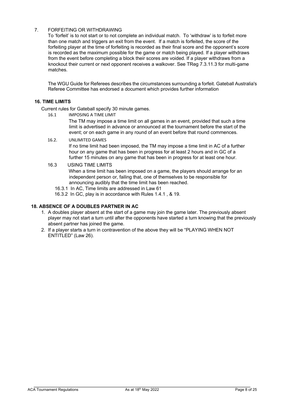## 7. FORFEITING OR WITHDRAWING

To 'forfeit' is to not start or to not complete an individual match. To 'withdraw' is to forfeit more than one match and triggers an exit from the event. If a match is forfeited, the score of the forfeiting player at the time of forfeiting is recorded as their final score and the opponent's score is recorded as the maximum possible for the game or match being played. If a player withdraws from the event before completing a block their scores are voided. If a player withdraws from a knockout their current or next opponent receives a walkover. See TReg 7.3.11.3 for multi-game matches.

The WGU Guide for Referees describes the circumstances surrounding a forfeit. Gateball Australia's Referee Committee has endorsed a document which provides further information

## **16. TIME LIMITS**

Current rules for Gateball specify 30 minute games.

16.1 IMPOSING A TIME LIMIT

The TM may impose a time limit on all games in an event, provided that such a time limit is advertised in advance or announced at the tournament before the start of the event; or on each game in any round of an event before that round commences.

## 16.2. UNLIMITED GAMES

If no time limit had been imposed, the TM may impose a time limit in AC of a further hour on any game that has been in progress for at least 2 hours and in GC of a further 15 minutes on any game that has been in progress for at least one hour.

## 16.3 USING TIME LIMITS

When a time limit has been imposed on a game, the players should arrange for an independent person or, failing that, one of themselves to be responsible for announcing audibly that the time limit has been reached.

- 16.3.1 In AC, Time limits are addressed in Law 61
- 16.3.2 In GC, play is in accordance with Rules 1.4.1 , & 19.

## **18. ABSENCE OF A DOUBLES PARTNER IN AC**

- 1. A doubles player absent at the start of a game may join the game later. The previously absent player may not start a turn until after the opponents have started a turn knowing that the previously absent partner has joined the game.
- 2. If a player starts a turn in contravention of the above they will be "PLAYING WHEN NOT ENTITLED" (Law 26).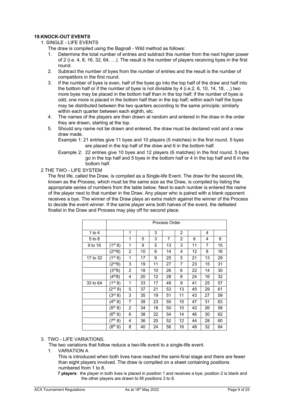## **19.KNOCK-OUT EVENTS**

1. SINGLE - LIFE EVENTS

The draw is compiled using the Bagnall - Wild method as follows:

- 1. Determine the total number of entries and subtract this number from the next higher power of 2 (i.e. 4, 8, 16, 32, 64, …). The result is the number of players receiving byes in the first round.
- 2. Subtract the number of byes from the number of entries and the result is the number of competitors in the first round.
- 3. If the number of byes is even, half of the byes go into the top half of the draw and half into the bottom half or if the number of byes is not divisible by 4 (i.e.2, 6, 10, 14, 18, ...) two more byes may be placed in the bottom half than in the top half; if the number of byes is odd, one more is placed in the bottom half than in the top half; within each half the byes may be distributed between the two quarters according to the same principle; similarly within each quarter between each eighth, etc.
- 4. The names of the players are then drawn at random and entered in the draw in the order they are drawn, starting at the top.
- 5. Should any name not be drawn and entered, the draw must be declared void and a new draw made.
	- Example 1: 21 entries give 11 byes and 10 players (5 matches) in the first round. 5 byes are placed in the top half of the draw and 6 in the bottom half.
	- Example 2: 22 entries give 10 byes and 12 players (6 matches) in the first round. 5 byes go in the top half and 5 byes in the bottom half or 4 in the top half and 6 in the bottom half.

#### 2 THE TWO - LIFE SYSTEM

The first life, called the Draw, is compiled as a Single-life Event. The draw for the second life, known as the Process, which must be the same size as the Draw, is compiled by listing the appropriate series of numbers from the table below. Next to each number is entered the name of the player next to that number in the Draw. Any player who is paired with a blank opponent receives a bye. The winner of the Draw plays an extra match against the winner of the Process to decide the event winner. If the same player wins both halves of the event, the defeated finalist in the Draw and Process may play off for second place.

|          | Process Order                   |                |    |    |                |    |    |    |    |
|----------|---------------------------------|----------------|----|----|----------------|----|----|----|----|
| 1 to $4$ |                                 | 1              |    | 3  |                | 2  |    | 4  |    |
| 5 to 8   |                                 | 1              | 5  | 3  | $\overline{7}$ | 2  | 6  | 4  | 8  |
| 9 to 16  | $\overline{1}$ <sup>st</sup> 8) | 1              | 9  | 5  | 13             | 3  | 11 | 7  | 15 |
|          | $(2^{nd}8)$                     | $\overline{2}$ | 10 | 6  | 14             | 4  | 12 | 8  | 16 |
| 17 to 32 | $(1^{st} 8)$                    | 1              | 17 | 9  | 25             | 5  | 21 | 13 | 29 |
|          | $(2^{nd}8)$                     | 3              | 19 | 11 | 27             | 7  | 23 | 15 | 31 |
|          | (3 <sup>rd</sup> 8)             | 2              | 18 | 10 | 26             | 6  | 22 | 14 | 30 |
|          | $\overline{(4^{th}8)}$          | 4              | 20 | 12 | 28             | 8  | 24 | 16 | 32 |
| 33 to 64 | $(1^{st} 8)$                    | 1              | 33 | 17 | 49             | 9  | 41 | 25 | 57 |
|          | $(2^{nd} 8)$                    | 5              | 37 | 21 | 53             | 13 | 45 | 29 | 61 |
|          | (3 <sup>rd</sup> 8)             | 3              | 35 | 19 | 51             | 11 | 43 | 27 | 59 |
|          | $(4^{th} 8)$                    | 7              | 39 | 23 | 55             | 15 | 47 | 31 | 63 |
|          | $\overline{(5^{th} 8)}$         | $\overline{2}$ | 34 | 18 | 50             | 10 | 42 | 26 | 58 |
|          | (6 <sup>th</sup> 8)             | 6              | 38 | 22 | 54             | 14 | 46 | 30 | 62 |
|          | (7 <sup>th</sup> 8)             | 4              | 36 | 20 | 52             | 12 | 44 | 28 | 60 |
|          | $(8^{th} 8)$                    | 8              | 40 | 24 | 56             | 16 | 48 | 32 | 64 |

## 3. TWO - LIFE VARIATIONS.

The two variations that follow reduce a two-life event to a single-life event.

1. VARIATION A

This is introduced when both lives have reached the semi-final stage and there are fewer than eight players involved. The draw is compiled on a sheet containing positions numbered from 1 to 8.

**7 players**: the player in both lives is placed in position 1 and receives a bye; position 2 is blank and the other players are drawn to fill positions 3 to 8.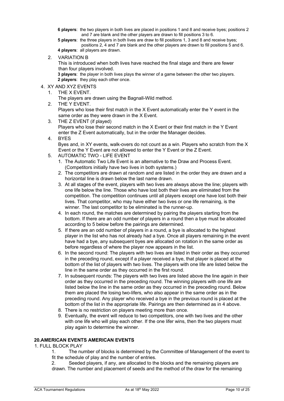**6 players**: the two players in both lives are placed in positions 1 and 8 and receive byes; positions 2 and 7 are blank and the other players are drawn to fill positions 3 to 6.

**5 players**: the three players in both lives are draw to fill positions 1, 3 and 8 and receive byes; positions 2, 4 and 7 are blank and the other players are drawn to fill positions 5 and 6.

**4 players**: all players are drawn.

2. VARIATION B

This is introduced when both lives have reached the final stage and there are fewer than four players involved.

**3 players**: the player in both lives plays the winner of a game between the other two players. **2 players**: they play each other once.

## 4. XY AND XYZ EVENTS

1. THE X EVENT.

The players are drawn using the Bagnall-Wild method.

- 2. THE Y EVENT. Players who lose their first match in the X Event automatically enter the Y event in the same order as they were drawn in the X Event.
- 3. THE Z EVENT (if played) Players who lose their second match in the X Event or their first match in the Y Event enter the Z Event automatically, but in the order the Manager decides.
- 4. BYES

Byes and, in XY events, walk-overs do not count as a win. Players who scratch from the X Event or the Y Event are not allowed to enter the Y Event or the Z Event.

- 5. AUTOMATIC TWO LIFE EVENT
	- 1. The Automatic Two Life Event is an alternative to the Draw and Process Event. (Competitors initially have two lives in both systems.)
	- 2. The competitors are drawn at random and are listed in the order they are drawn and a horizontal line is drawn below the last name drawn.
	- 3. At all stages of the event, players with two lives are always above the line; players with one life below the line. Those who have lost both their lives are eliminated from the competition. The competition continues until all players except one have lost both their lives. That competitor, who may have either two lives or one life remaining, is the winner. The last competitor to be eliminated is the runner-up.
	- 4. In each round, the matches are determined by pairing the players starting from the bottom. If there are an odd number of players in a round then a bye must be allocated according to 5 below before the pairings are determined.
	- 5. If there are an odd number of players in a round, a bye is allocated to the highest player in the list who has not already had a bye. Once all players remaining in the event have had a bye, any subsequent byes are allocated on rotation in the same order as before regardless of where the player now appears in the list.
	- 6. In the second round: The players with two lives are listed in their order as they occurred in the preceding round, except if a player received a bye, that player is placed at the bottom of the list of players with two lives. The players with one life are listed below the line in the same order as they occurred in the first round.
	- 7. In subsequent rounds: The players with two lives are listed above the line again in their order as they occurred in the preceding round. The winning players with one life are listed below the line in the same order as they occurred in the preceding round. Below them are placed the losing two-lifers, who also appear in the same order as in the preceding round. Any player who received a bye in the previous round is placed at the bottom of the list in the appropriate life. Pairings are then determined as in 4 above.
	- 8. There is no restriction on players meeting more than once.
	- 9. Eventually, the event will reduce to two competitors, one with two lives and the other with one life who will play each other. If the one lifer wins, then the two players must play again to determine the winner.

## **20.AMERICAN EVENTS AMERICAN EVENTS**

## 1. FULL BLOCK PLAY

1. The number of blocks is determined by the Committee of Management of the event to fit the schedule of play and the number of entries.

2. Seeded players, if any, are allocated to the blocks and the remaining players are drawn. The number and placement of seeds and the method of the draw for the remaining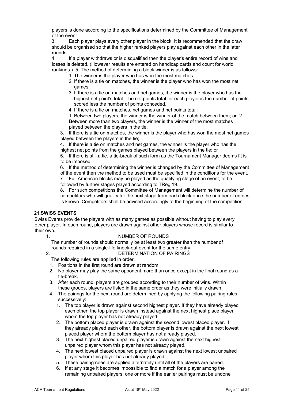players is done according to the specifications determined by the Committee of Management of the event.

3. Each player plays every other player in the block. It is recommended that the draw should be organised so that the higher ranked players play against each other in the later rounds.

4. If a player withdraws or is disqualified then the player's entire record of wins and losses is deleted. (However results are entered on handicap cards and count for world rankings.) 5. The method of determining a block winner is as follows:

- 1. The winner is the player who has won the most matches.
- 2. If there is a tie on matches, the winner is the player who has won the most net games.
- 3. If there is a tie on matches and net games, the winner is the player who has the highest net point's total. The net points total for each player is the number of points scored less the number of points conceded.
- 4. If there is a tie on matches, net games and net points total:

1. Between two players, the winner is the winner of the match between them; or 2. Between more than two players, the winner is the winner of the most matches played between the players in the tie;

3. If there is a tie on matches, the winner is the player who has won the most net games played between the players in the tie;

4. If there is a tie on matches and net games, the winner is the player who has the highest net points from the games played between the players in the tie; or

5. If there is still a tie, a tie-break of such form as the Tournament Manager deems fit is to be imposed.

6. If the method of determining the winner is changed by the Committee of Management of the event then the method to be used must be specified in the conditions for the event.

7. Full American blocks may be played as the qualifying stage of an event, to be followed by further stages played according to TReg 19.

8. For such competitions the Committee of Management will determine the number of competitors who will qualify for the next stage from each block once the number of entries is known. Competitors shall be advised accordingly at the beginning of the competition.

## **21.SWISS EVENTS**

Swiss Events provide the players with as many games as possible without having to play every other player. In each round, players are drawn against other players whose record is similar to their own.

## 1. NUMBER OF ROUNDS

The number of rounds should normally be at least two greater than the number of rounds required in a single-life knock-out event for the same entry.

## 2. DETERMINATION OF PAIRINGS

The following rules are applied in order.

- 1. Positions in the first round are drawn at random.
- 2. No player may play the same opponent more than once except in the final round as a tie-break.
- 3. After each round, players are grouped according to their number of wins. Within these groups, players are listed in the same order as they were initially drawn.
- 4. The pairings for the next round are determined by applying the following pairing rules successively:
	- 1. The top player is drawn against second highest player. If they have already played each other, the top player is drawn instead against the next highest place player whom the top player has not already played.
	- 2. The bottom placed player is drawn against the second lowest placed player. If they already played each other, the bottom player is drawn against the next lowest placed player whom the bottom player has not already played.
	- 3. The next highest placed unpaired player is drawn against the next highest unpaired player whom this player has not already played.
	- 4. The next lowest placed unpaired player is drawn against the next lowest unpaired player whom this player has not already played.
	- 5. These pairing rules are applied alternately until all of the players are paired.
	- 6. If at any stage it becomes impossible to find a match for a player among the remaining unpaired players, one or more if the earlier pairings must be undone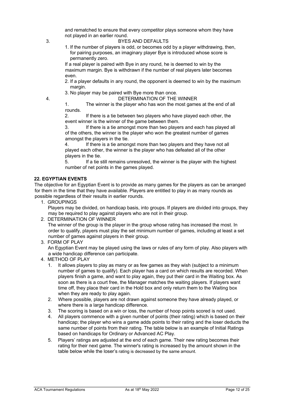and rematched to ensure that every competitor plays someone whom they have not played in an earlier round.

#### 3. BYES AND DEFAULTS

1. If the number of players is odd, or becomes odd by a player withdrawing, then, for pairing purposes, an imaginary player Bye is introduced whose score is permanently zero.

If a real player is paired with Bye in any round, he is deemed to win by the maximum margin. Bye is withdrawn if the number of real players later becomes even.

2. If a player defaults in any round, the opponent is deemed to win by the maximum margin.

3. No player may be paired with Bye more than once.

4. DETERMINATION OF THE WINNER

1. The winner is the player who has won the most games at the end of all rounds.

2. If there is a tie between two players who have played each other, the event winner is the winner of the game between them.

3. If there is a tie amongst more than two players and each has played all of the others, the winner is the player who won the greatest number of games amongst the players in the tie.

4. If there is a tie amongst more than two players and they have not all played each other, the winner is the player who has defeated all of the other players in the tie.

5. If a tie still remains unresolved, the winner is the player with the highest number of net points in the games played.

## **22. EGYPTIAN EVENTS**

The objective for an Egyptian Event is to provide as many games for the players as can be arranged for them in the time that they have available. Players are entitled to play in as many rounds as possible regardless of their results in earlier rounds.

1. GROUPINGS

Players may be divided, on handicap basis, into groups. If players are divided into groups, they may be required to play against players who are not in their group.

## 2. DETERMINATION OF WINNER

The winner of the group is the player in the group whose rating has increased the most. In order to qualify, players must play the set minimum number of games, including at least a set number of games against players in their group.

3. FORM OF PLAY

An Egyptian Event may be played using the laws or rules of any form of play. Also players with a wide handicap difference can participate.

- 4. METHOD OF PLAY
	- 1. It allows players to play as many or as few games as they wish (subject to a minimum number of games to qualify). Each player has a card on which results are recorded. When players finish a game, and want to play again, they put their card in the Waiting box. As soon as there is a court free, the Manager matches the waiting players. If players want time off, they place their card in the Hold box and only return them to the Waiting box when they are ready to play again.
	- 2. Where possible, players are not drawn against someone they have already played, or where there is a large handicap difference.
	- 3. The scoring is based on a win or loss, the number of hoop points scored is not used.
	- 4. All players commence with a given number of points (their rating) which is based on their handicap; the player who wins a game adds points to their rating and the loser deducts the same number of points from their rating. The table below is an example of Initial Ratings based on handicaps for Ordinary or Advanced AC Play.
	- 5. Players' ratings are adjusted at the end of each game. Their new rating becomes their rating for their next game. The winner's rating is increased by the amount shown in the table below while the loser's rating is decreased by the same amount.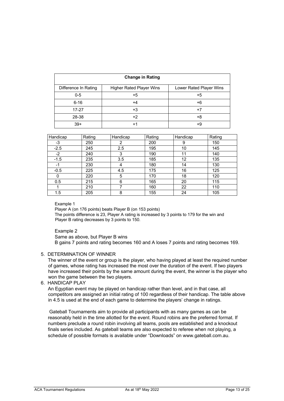|                      | <b>Change in Rating</b>         |                         |
|----------------------|---------------------------------|-------------------------|
| Difference In Rating | <b>Higher Rated Player Wins</b> | Lower Rated Player Wins |
| $0-5$                | $+5$                            | $+5$                    |
| $6 - 16$             | $+4$                            | +6                      |
| $17 - 27$            | +3                              | $+7$                    |
| 28-38                | $+2$                            | +8                      |
| $39+$                | +1                              | +9                      |

| Handicap | Rating | Handicap | Rating | Handicap | Rating |
|----------|--------|----------|--------|----------|--------|
| -3       | 250    | っ        | 200    | 9        | 150    |
| $-2.5$   | 245    | 2.5      | 195    | 10       | 145    |
| $-2$     | 240    | 3        | 190    | 11       | 140    |
| $-1.5$   | 235    | 3.5      | 185    | 12       | 135    |
| -1       | 230    | 4        | 180    | 14       | 130    |
| $-0.5$   | 225    | 4.5      | 175    | 16       | 125    |
| 0        | 220    | 5        | 170    | 18       | 120    |
| 0.5      | 215    | 6        | 165    | 20       | 115    |
|          | 210    |          | 160    | 22       | 110    |
| 1.5      | 205    | 8        | 155    | 24       | 105    |

#### Example 1

Player A (on 176 points) beats Player B (on 153 points) The points difference is 23, Player A rating is increased by 3 points to 179 for the win and Player B rating decreases by 3 points to 150.

#### Example 2

Same as above, but Player B wins B gains 7 points and rating becomes 160 and A loses 7 points and rating becomes 169.

## 5. DETERMINATION OF WINNER

The winner of the event or group is the player, who having played at least the required number of games, whose rating has increased the most over the duration of the event. If two players have increased their points by the same amount during the event, the winner is the player who won the game between the two players.

6. HANDICAP PLAY

An Egyptian event may be played on handicap rather than level, and in that case, all competitors are assigned an initial rating of 100 regardless of their handicap. The table above in 4.5 is used at the end of each game to determine the players' change in ratings.

Gateball Tournaments aim to provide all participants with as many games as can be reasonably held in the time allotted for the event. Round robins are the preferred format. If numbers preclude a round robin involving all teams, pools are established and a knockout finals series included. As gateball teams are also expected to referee when not playing, a schedule of possible formats is available under "Downloads" on www.gateball.com.au.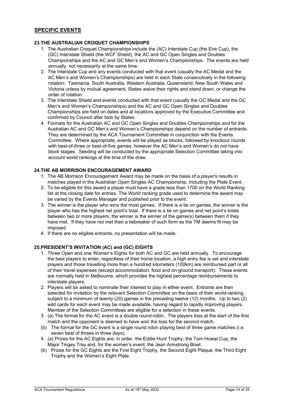## **SPECIFIC EVENTS**

## **23.THE AUSTRALIAN CROQUET CHAMPIONSHIPS**

- 1. The Australian Croquet Championships include the (AC) Interstate Cup (the Eire Cup), the (GC) Interstate Shield (the WCF Shield), the AC and GC Open Singles and Doubles Championships and the AC and GC Men's and Women's Championships. The events are held annually, not necessarily at the same time.
- 2. The Interstate Cup and any events conducted with that event (usually the AC Medal and the AC Men's and Women's Championships) are held in each State consecutively in the following rotation: Tasmania, South Australia, Western Australia, Queensland, New South Wales and Victoria unless by mutual agreement, States waive their rights and stand down, or change the order of rotation.
- 3. The Interstate Shield and events conducted with that event (usually the GC Medal and the GC Men's and Women's Championships) and the AC and GC Open Singles and Doubles Championships are held on dates and at locations approved by the Executive Committee and confirmed by Council after bids by States.
- 4. Formats for the Australian AC and GC Open Singles and Doubles Championships and for the Australian AC and GC Men's and Women's Championships depend on the number of entrants. They are determined by the ACA Tournament Committee in conjunction with the Events Committee. Where appropriate, events will be played as blocks, followed by knockout rounds with best-of-three or best-of-five games, however the AC Men's and Women's do not have block stages. Seeding will be conducted by the appropriate Selection Committee taking into account world rankings at the time of the draw.

## **24.THE AB MORRISON ENCOURAGEMENT AWARD**

- 1. The AB Morrison Encouragement Award may be made on the basis of a player's results in matches played in the Australian Open Singles AC Championship, including the Plate Event.
- 2. To be eligible for this award a player must have a grade less than 1700 on the World Ranking list at the closing date for entries. The World ranking grade used to determine the award may be varied by the Events Manager and published prior to the event.
- 3. The winner is the player who wins the most games. If there is a tie on games, the winner is the player who has the highest net point's total. If there is a tie on games and net point's totals between two or more players, the winner is the winner of the game(s) between them if they have met. If they have not met then a tiebreaker of such form as the TM deems fit may be imposed.
- 4. If there are no eligible entrants, no presentation will be made.

## **25.PRESIDENT'S INVITATION (AC) and (GC) EIGHTS**

- 1. Three Open and one Women's Eights for both AC and GC are held annually. To encourage the best players to enter, regardless of their home location, a high entry fee is set and interstate players and those travelling more than a hundred kilometers (100km) are reimbursed part or all of their travel expenses (except accommodation, food and on-ground transport). These events are normally held in Melbourne, which provides the highest percentage reimbursements to interstate players.
- 2. Players will be asked to nominate their interest to play in either event. Entrants are then selected for invitation by the relevant Selection Committee on the basis of their world-ranking, subject to a minimum of twenty (20) games in the preceding twelve (12) months. Up to two (2) wild cards for each event may be made available, having regard to rapidly improving players. Member of the Selection Committees are eligible for a selection in these events.
- 3. (a) The format for the AC event is a double round-robin. The players toss at the start of the first match and the opponent is deemed to have won the toss for the second match.
- (b) The format for the GC event is a single round robin playing best of three game matches (i.e. seven best of threes in three days).
- 4. (a) Prizes for the AC Eights are, in order, the Eddie Hunt Trophy, the Tom Howat Cup, the Major Tingey Tray and, for the women's event, the Jean Armstrong Bowl.
- (b) Prizes for the GC Eights are the First Eight Trophy, the Second Eight Plaque, the Third Eight Trophy and the Women's Eight Plate.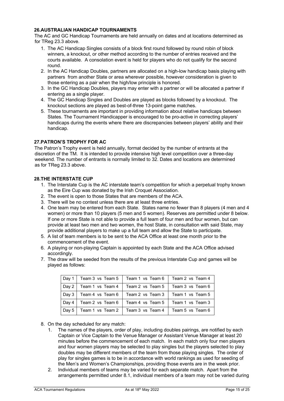## **26.AUSTRALIAN HANDICAP TOURNAMENTS**

The AC and GC Handicap Tournaments are held annually on dates and at locations determined as for TReg 23.3 above.

- 1. The AC Handicap Singles consists of a block first round followed by round robin of block winners, a knockout, or other method according to the number of entries received and the courts available. A consolation event is held for players who do not qualify for the second round.
- 2. In the AC Handicap Doubles, partners are allocated on a high-low handicap basis playing with partners from another State or area wherever possible, however consideration is given to those entering as a pair when the high/low principle is honored.
- 3. In the GC Handicap Doubles, players may enter with a partner or will be allocated a partner if entering as a single player.
- 4. The GC Handicap Singles and Doubles are played as blocks followed by a knockout. The knockout sections are played as best-of-three 13-point game matches.
- 5. These tournaments are important in providing information about relative handicaps between States. The Tournament Handicapper is encouraged to be pro-active in correcting players' handicaps during the events where there are discrepancies between players' ability and their handicap.

## **27.PATRON'S TROPHY FOR AC**

The Patron's Trophy event is held annually, format decided by the number of entrants at the discretion of the TM. It is intended to provide intensive high level competition over a three-day weekend. The number of entrants is normally limited to 32. Dates and locations are determined as for TReg 23.3 above.

## **28.THE INTERSTATE CUP**

- 1. The Interstate Cup is the AC interstate team's competition for which a perpetual trophy known as the Eire Cup was donated by the Irish Croquet Association.
- 2. The event is open to those States that are members of the ACA.
- 3. There will be no contest unless there are at least three entries.
- 4. One team may be entered from each State. States name no fewer than 8 players (4 men and 4 women) or more than 10 players (5 men and 5 women). Reserves are permitted under 8 below. If one or more State is not able to provide a full team of four men and four women, but can provide at least two men and two women, the host State, in consultation with said State, may provide additional players to make up a full team and allow the State to participate.
- 5. A list of team members is to be sent to the ACA Office at least one month prior to the commencement of the event.
- 6. A playing or non-playing Captain is appointed by each State and the ACA Office advised accordingly.
- 7. The draw will be seeded from the results of the previous Interstate Cup and games will be played as follows:

|  | Day 1   Team 3 vs Team 5   Team 1 vs Team 6   Team 2 vs Team 4 |  |
|--|----------------------------------------------------------------|--|
|  | Day 2   Team 1 vs Team 4   Team 2 vs Team 5   Team 3 vs Team 6 |  |
|  | Day 3   Team 4 vs Team 6   Team 2 vs Team 3   Team 1 vs Team 5 |  |
|  | Day 4   Team 2 vs Team 6   Team 4 vs Team 5   Team 1 vs Team 3 |  |
|  | Day 5   Team 1 vs Team 2   Team 3 vs Team 4   Team 5 vs Team 6 |  |

- 8. On the day scheduled for any match:
	- 1. The names of the players, order of play, including doubles pairings, are notified by each Captain or Vice Captain to the Venue Manager or Assistant Venue Manager at least 20 minutes before the commencement of each match. In each match only four men players and four women players may be selected to play singles but the players selected to play doubles may be different members of the team from those playing singles*.* The order of play for singles games is to be in accordance with world rankings as used for seeding of the Men's and Women's Championships, providing those events are in the week prior.
	- 2. Individual members of teams may be varied for each separate match. Apart from the arrangements permitted under 8.1, individual members of a team may not be varied during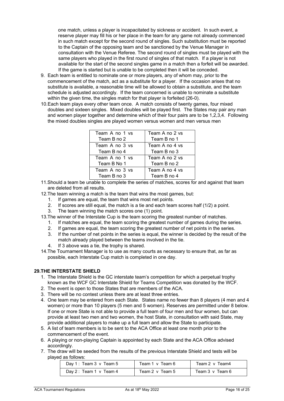one match, unless a player is incapacitated by sickness or accident. In such event, a reserve player may fill his or her place in the team for any game not already commenced in such match except for the second round of singles. Such substitution must be reported to the Captain of the opposing team and be sanctioned by the Venue Manager in consultation with the Venue Referee. The second round of singles must be played with the same players who played in the first round of singles of that match. If a player is not available for the start of the second singles game in a match then a forfeit will be awarded. If the game is started but is unable to be completed then it will be conceded.

- 9. Each team is entitled to nominate one or more players, any of whom may, prior to the commencement of the match, act as a substitute for a player. If the occasion arises that no substitute is available, a reasonable time will be allowed to obtain a substitute, and the team schedule is adjusted accordingly. If the team concerned is unable to nominate a substitute within the given time, the singles match for that player is forfeited (26-0).
- 10.Each team plays every other team once. A match consists of twenty games, four mixed doubles and sixteen singles. Mixed doubles will be played first. The States may pair any man and women player together and determine which of their four pairs are to be 1,2,3,4. Following the mixed doubles singles are played women versus women and men versus men

| Team A no 1 vs | Team A no 2 vs |
|----------------|----------------|
| Team B no 2    | Team B no 1    |
| Team A no 3 vs | Team A no 4 vs |
| Team B no 4    | Team B no 3    |
| Team A no 1 vs | Team A no 2 vs |
| Team B No 1    | Team B no 2    |
| Team A no 3 vs | Team A no 4 vs |
| Team B no 3    | Team B no 4    |

- 11.Should a team be unable to complete the series of matches, scores for and against that team are deleted from all results.
- 12.The team winning a match is the team that wins the most games, but:
	- 1. If games are equal, the team that wins most net points.
	- 2. If scores are still equal, the match is a tie and each team scores half (1/2) a point.
	- 3. The team winning the match scores one (1) point.
- 13.The winner of the Interstate Cup is the team scoring the greatest number of matches.
	- 1. If matches are equal, the team scoring the greatest number of games during the series.
	- 2. If games are equal, the team scoring the greatest number of net points in the series.
	- 3. If the number of net points in the series is equal, the winner is decided by the result of the match already played between the teams involved in the tie.
	- 4. If 3 above was a tie, the trophy is shared.
- 14.The Tournament Manager is to use as many courts as necessary to ensure that, as far as possible, each Interstate Cup match is completed in one day.

## **29.THE INTERSTATE SHIELD**

- 1. The Interstate Shield is the GC interstate team's competition for which a perpetual trophy known as the WCF GC Interstate Shield for Teams Competition was donated by the WCF.
- 2. The event is open to those States that are members of the ACA.
- 3. There will be no contest unless there are at least three entries.
- 4. One team may be entered from each State. States name no fewer than 8 players (4 men and 4 women) or more than 10 players (5 men and 5 women). Reserves are permitted under 8 below. If one or more State is not able to provide a full team of four men and four women, but can provide at least two men and two women, the host State, in consultation with said State, may provide additional players to make up a full team and allow the State to participate.
- 5. A list of team members is to be sent to the ACA Office at least one month prior to the commencement of the event.
- 6. A playing or non-playing Captain is appointed by each State and the ACA Office advised accordingly.
- 7. The draw will be seeded from the results of the previous Interstate Shield and tests will be played as follows:

| Day 1: Team 3 v Team 5        | Team 1 v Team 6 | Team 2 v Team4  |
|-------------------------------|-----------------|-----------------|
| Day $2:$ Team 1 $\vee$ Team 4 | Team 2 v Team 5 | Team 3 v Team 6 |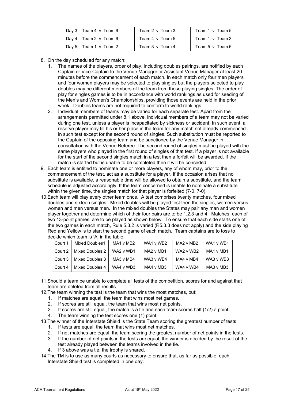| Day $3:$ Team $4 \vee$ Team $6$ | Team 2 v Team 3 | Team 1 v Team 5 |
|---------------------------------|-----------------|-----------------|
| Day $4:$ Team $2 \vee$ Team $6$ | Team 4 v Team 5 | Team 1 v Team 3 |
| Day 5: Team 1 v Team 2          | Team 3 v Team 4 | Team 5 v Team 6 |

- 8. On the day scheduled for any match:
	- 1. The names of the players, order of play, including doubles pairings, are notified by each Captain or Vice-Captain to the Venue Manager or Assistant Venue Manager at least 20 minutes before the commencement of each match. In each match only four men players and four women players may be selected to play singles but the players selected to play doubles may be different members of the team from those playing singles. The order of play for singles games is to be in accordance with world rankings as used for seeding of the Men's and Women's Championships, providing those events are held in the prior week. Doubles teams are not required to conform to world rankings.
	- 2. Individual members of teams may be varied for each separate test. Apart from the arrangements permitted under 8.1 above, individual members of a team may not be varied during one test, unless a player is incapacitated by sickness or accident. In such event, a reserve player may fill his or her place in the team for any match not already commenced in such test except for the second round of singles. Such substitution must be reported to the Captain of the opposing team and be sanctioned by the Venue Manager in consultation with the Venue Referee. The second round of singles must be played with the same players who played in the first round of singles of that test. If a player is not available for the start of the second singles match in a test then a forfeit will be awarded. If the match is started but is unable to be completed then it will be conceded.
- 9. Each team is entitled to nominate one or more players, any of whom may, prior to the commencement of the test, act as a substitute for a player. If the occasion arises that no substitute is available, a reasonable time will be allowed to obtain a substitute, and the team schedule is adjusted accordingly. If the team concerned is unable to nominate a substitute within the given time, the singles match for that player is forfeited (7-0, 7-0).
- 10.Each team will play every other team once. A test comprises twenty matches, four mixed doubles and sixteen singles. Mixed doubles will be played first then the singles, women versus women and men versus men. In the mixed doubles the States may pair any man and women player together and determine which of their four pairs are to be 1,2,3 and 4. Matches, each of two 13-point games, are to be played as shown below. To ensure that each side starts one of the two games in each match, Rule 5.3.2 is varied (R5.3.3 does not apply) and the side playing Red and Yellow is to start the second game of each match. Team captains are to toss to decide which team is 'A' in the table.

| Court 1 | <b>Mixed Doubles1</b> | MA1 v MB2 | WA1 v WB2                          | MA2 v MB2 | WA1 v WB1 |
|---------|-----------------------|-----------|------------------------------------|-----------|-----------|
| Court 2 | Mixed Doubles 2       | WA2 v WB1 | MA <sub>2</sub> v M <sub>B</sub> 1 | WA2 v WB2 | MA1 v MB1 |
| Court 3 | Mixed Doubles 3       | MA3 v MB4 | WA3 v WB4                          | MA4 v MB4 | WA3 v WB3 |
| Court 4 | Mixed Doubles 4       | WA4 v WB3 | MA4 v MB3                          | WA4 v WB4 | MA3 v MB3 |

- 11.Should a team be unable to complete all tests of the competition, scores for and against that team are deleted from all results.
- 12.The team winning the test is the team that wins the most matches, but:
	- 1. If matches are equal, the team that wins most net games.
	- 2. If scores are still equal, the team that wins most net points.
	- 3. If scores are still equal, the match is a tie and each team scores half (1/2) a point.
	- 4. The team winning the test scores one (1) point.
- 13.The winner of the Interstate Shield is the State Team scoring the greatest number of tests.
	- 1. If tests are equal, the team that wins most net matches.
	- 2. If net matches are equal, the team scoring the greatest number of net points in the tests.
	- 3. If the number of net points in the tests are equal, the winner is decided by the result of the test already played between the teams involved in the tie.
	- 4. If 3 above was a tie, the trophy is shared.
- 14.The TM is to use as many courts as necessary to ensure that, as far as possible, each Interstate Shield test is completed in one day.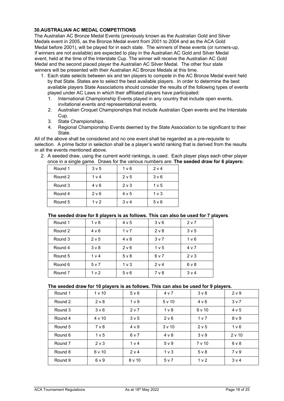## **30.AUSTRALIAN AC MEDAL COMPETITIONS**

The Australian AC Bronze Medal Events (previously known as the Australian Gold and Silver Medals event in 2005, as the Bronze Medal event from 2001 to 2004 and as the ACA Gold Medal before 2001), will be played for in each state. The winners of these events (or runners-up, if winners are not available) are expected to play in the Australian AC Gold and Silver Medal event, held at the time of the Interstate Cup. The winner will receive the Australian AC Gold Medal and the second placed player the Australian AC Silver Medal. The other four state winners will be presented with their Australian AC Bronze Medals at this time.

- 1. Each state selects between six and ten players to compete in the AC Bronze Medal event held by that State. States are to select the best available players. In order to determine the best available players State Associations should consider the results of the following types of events played under AC Laws in which their affiliated players have participated:
	- 1. International Championship Events played in any country that include open events, invitational events and representational events.
	- 2. Australian Croquet Championships that include Australian Open events and the Interstate Cup.
	- 3. State Championships.
	- 4. Regional Championship Events deemed by the State Association to be significant to their State.

All of the above shall be considered and no one event shall be regarded as a pre-requisite to selection. A prime factor in selection shall be a player's world ranking that is derived from the results in all the events mentioned above.

2. A seeded draw, using the current world rankings, is used. Each player plays each other player once in a single game. Draws for the various numbers are: **The seeded draw for 6 players:** 

| Round 1 | 3 <sub>v</sub> 5 | 1 <sub>v</sub> 6 | 2 v 4            |
|---------|------------------|------------------|------------------|
| Round 2 | 1 <sub>v</sub>   | 2 <sub>v</sub> 5 | 3 <sub>v</sub> 6 |
| Round 3 | 4 v 6            | 2 <sub>v</sub>   | 1 <sub>v</sub> 5 |
| Round 4 | 2 v 6            | 4 v 5            | $1v$ 3           |
| Round 5 | 1 <sub>v</sub>   | 3 <sub>v</sub>   | 5 <sub>v</sub> 6 |

## **The seeded draw for 8 players is as follows. This can also be used for 7 players**.

| Round 1 | 1 <sub>v</sub>   | 4 v 5          | 3 <sub>v</sub> 6 | 2 <sub>v</sub>   |
|---------|------------------|----------------|------------------|------------------|
| Round 2 | 4 v 6            | 1 <sub>v</sub> | $2v$ 8           | 3v5              |
| Round 3 | 2 v 5            | $4 \vee 8$     | 3 <sub>v</sub>   | 1 <sub>v</sub> 6 |
| Round 4 | $3v$ 8           | 2 v 6          | 1 <sub>v</sub> 5 | 4 v 7            |
| Round 5 | 1 <sub>v</sub> 4 | $5 \vee 8$     | 6v7              | $2 \vee 3$       |
| Round 6 | 5 v 7            | $1v$ 3         | 2 v 4            | 6 <sub>V</sub> 8 |
| Round 7 | 1 <sub>v</sub>   | 5 v 6          | $7v$ 8           | 3 <sub>v</sub> 4 |

#### **The seeded draw for 10 players is as follows. This can also be used for 9 players.**

| Round 1 | 1 <sub>v</sub> 10 | 5 v 6            | 4 v 7          | $3v$ 8           | 2 <sub>v</sub> 9 |
|---------|-------------------|------------------|----------------|------------------|------------------|
| Round 2 | 2 v 8             | 1 <sub>v</sub> 9 | 5v10           | 4 v 6            | 3 <sub>v</sub>   |
| Round 3 | 3 <sub>v</sub> 6  | 2 v 7            | 1 <sub>v</sub> | 9v10             | 4 v 5            |
| Round 4 | 4v10              | 3 <sub>v</sub> 5 | 2 v 6          | 1 <sub>v</sub>   | 8 v 9            |
| Round 5 | 7 <sub>v</sub> 8  | 4 v 9            | 3v10           | 2 v 5            | 1 <sub>v</sub> 6 |
| Round 6 | 1 <sub>v</sub> 5  | 6 v 7            | $4 \vee 8$     | 3 <sub>v</sub> 9 | 2 v 10           |
| Round 7 | $2 \vee 3$        | 1 <sub>v</sub> 4 | 5 v 9          | 7 v 10           | 6 v 8            |
| Round 8 | 6 v 10            | 2 v 4            | 1 <sub>v</sub> | $5 \vee 8$       | 7 <sub>v</sub> 9 |
| Round 9 | 6v9               | 8v10             | 5 v 7          | 1 <sub>v</sub> 2 | 3 <sub>v</sub> 4 |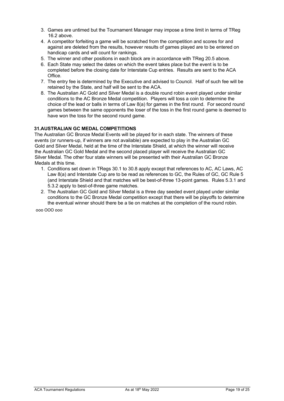- 3. Games are untimed but the Tournament Manager may impose a time limit in terms of TReg 16.2 above.
- 4. A competitor forfeiting a game will be scratched from the competition and scores for and against are deleted from the results, however results of games played are to be entered on handicap cards and will count for rankings.
- 5. The winner and other positions in each block are in accordance with TReg 20.5 above.
- 6. Each State may select the dates on which the event takes place but the event is to be completed before the closing date for Interstate Cup entries. Results are sent to the ACA Office.
- 7. The entry fee is determined by the Executive and advised to Council. Half of such fee will be retained by the State, and half will be sent to the ACA.
- 8. The Australian AC Gold and Silver Medal is a double round robin event played under similar conditions to the AC Bronze Medal competition. Players will toss a coin to determine the choice of the lead or balls in terms of Law 8(a) for games in the first round. For second round games between the same opponents the loser of the toss in the first round game is deemed to have won the toss for the second round game.

## **31.AUSTRALIAN GC MEDAL COMPETITIONS**

The Australian GC Bronze Medal Events will be played for in each state. The winners of these events (or runners-up, if winners are not available) are expected to play in the Australian GC Gold and Silver Medal, held at the time of the Interstate Shield, at which the winner will receive the Australian GC Gold Medal and the second placed player will receive the Australian GC Silver Medal. The other four state winners will be presented with their Australian GC Bronze Medals at this time.

- 1. Conditions set down in TRegs 30.1 to 30.8 apply except that references to AC, AC Laws, AC Law 8(a) and Interstate Cup are to be read as references to GC, the Rules of GC, GC Rule 5 (and Interstate Shield and that matches will be best-of-three 13-point games. Rules 5.3.1 and 5.3.2 apply to best-of-three game matches.
- 2. The Australian GC Gold and Silver Medal is a three day seeded event played under similar conditions to the GC Bronze Medal competition except that there will be playoffs to determine the eventual winner should there be a tie on matches at the completion of the round robin.

ooo OOO ooo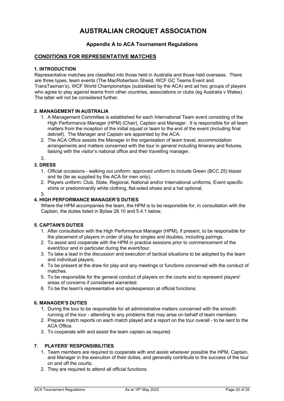# **AUSTRALIAN CROQUET ASSOCIATION**

## **Appendix A to ACA Tournament Regulations**

## **CONDITIONS FOR REPRESENTATIVE MATCHES**

## **1. INTRODUCTION**

Representative matches are classified into those held in Australia and those held overseas. There are three types, team events (The MacRobertson Shield, WCF GC Teams Event and TransTasman's), WCF World Championships (subsidised by the ACA) and ad hoc groups of players who agree to play against teams from other countries, associations or clubs (eg Australia v Wales). The latter will not be considered further.

## **2. MANAGEMENT IN AUSTRALIA**

- 1. A Management Committee is established for each International Team event consisting of the High Performance Manager (HPM) (Chair), Captain and Manager. It is responsible for all team matters from the inception of the initial squad or team to the end of the event (including final debrief). The Manager and Captain are appointed by the ACA.
- 2. The ACA Office assists the Manager in the organisation of team travel, accommodation arrangements and matters concerned with the tour in general including itinerary and fixtures, liaising with the visitor's national office and their travelling manager.

3.

## **3. DRESS**

- 1. Official occasions walking out uniform: approved uniform to include Green (BCC 25) blazer and tie (tie as supplied by the ACA for men only).
- 2. Players uniform: Club, State, Regional, National and/or International uniforms, Event specific shirts or predominantly white clothing, flat-soled shoes and a hat optional.
- 3.

## **4. HIGH PERFORMANCE MANAGER'S DUTIES**

Where the HPM accompanies the team, the HPM is to be responsible for, in consultation with the Captain, the duties listed in Bylaw 28.10 and 5.4.1 below.

## **5. CAPTAIN'S DUTIES**

- 1. After consultation with the High Performance Manager (HPM), if present, to be responsible for the placement of players in order of play for singles and doubles, including pairings.
- 2. To assist and cooperate with the HPM in practice sessions prior to commencement of the event/tour and in particular during the event/tour.
- 3. To take a lead in the discussion and execution of tactical situations to be adopted by the team and individual players.
- 4. To be present at the draw for play and any meetings or functions concerned with the conduct of matches.
- 5. To be responsible for the general conduct of players on the courts and to represent players' areas of concerns if considered warranted.
- 6. To be the team's representative and spokesperson at official functions.

## **6. MANAGER'S DUTIES**

- 1. During the tour to be responsible for all administrative matters concerned with the smooth running of the tour - attending to any problems that may arise on behalf of team members.
- 2. Prepare match reports on each match played and a report on the tour overall to be sent to the ACA Office.
- 3. To cooperate with and assist the team captain as required.

## **7. PLAYERS' RESPONSIBILITIES**

- 1. Team members are required to cooperate with and assist wherever possible the HPM, Captain, and Manager in the execution of their duties, and generally contribute to the success of the tour on and off the courts;
- 2. They are required to attend all official functions.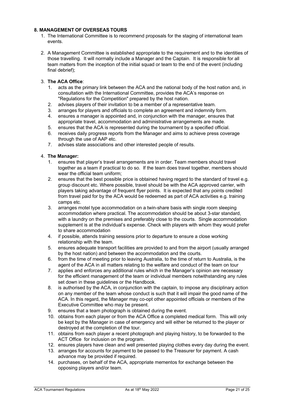## **8. MANAGEMENT OF OVERSEAS TOURS**

- 1. The International Committee is to recommend proposals for the staging of international team events.
- 2. A Management Committee is established appropriate to the requirement and to the identities of those travelling. It will normally include a Manager and the Captain. It is responsible for all team matters from the inception of the initial squad or team to the end of the event (including final debrief);

## 3. **The ACA Office**:

- 1. acts as the primary link between the ACA and the national body of the host nation and, in consultation with the International Committee, provides the ACA's response on "Regulations for the Competition" prepared by the host nation.
- 2. advises players of their invitation to be a member of a representative team.
- 3. arranges for players and officials to complete an agreement and indemnity form.
- 4. ensures a manager is appointed and, in conjunction with the manager, ensures that appropriate travel, accommodation and administrative arrangements are made.
- 5. ensures that the ACA is represented during the tournament by a specified official.
- 6. receives daily progress reports from the Manager and aims to achieve press coverage through the use of AAP etc.
- 7. advises state associations and other interested people of results.

## 4. **The Manager:**

- 1. ensures that player's travel arrangements are in order. Team members should travel together as a team if practical to do so. If the team does travel together, members should wear the official team uniform;
- 2. ensures that the best possible price is obtained having regard to the standard of travel e.g. group discount etc. Where possible, travel should be with the ACA approved carrier, with players taking advantage of frequent flyer points. It is expected that any points credited from travel paid for by the ACA would be redeemed as part of ACA activities e.g. training camps etc.
- 3. arranges motel type accommodation on a twin-share basis with single room sleeping accommodation where practical. The accommodation should be about 3-star standard, with a laundry on the premises and preferably close to the courts. Single accommodation supplement is at the individual's expense. Check with players with whom they would prefer to share accommodation
- 4. if possible, attends training sessions prior to departure to ensure a close working relationship with the team.
- 5. ensures adequate transport facilities are provided to and from the airport (usually arranged by the host nation) and between the accommodation and the courts.
- 6. from the time of meeting prior to leaving Australia, to the time of return to Australia, is the agent of the ACA in all matters relating to the welfare and conduct of the team on tour
- 7. applies and enforces any additional rules which in the Manager's opinion are necessary for the efficient management of the team or individual members notwithstanding any rules set down in these guidelines or the Handbook.
- 8. is authorised by the ACA, in conjunction with the captain, to impose any disciplinary action on any member of the team whose conduct is such that it will impair the good name of the ACA. In this regard, the Manager may co-opt other appointed officials or members of the Executive Committee who may be present.
- 9. ensures that a team photograph is obtained during the event.
- 10. obtains from each player or from the ACA Office a completed medical form. This will only be kept by the Manager in case of emergency and will either be returned to the player or destroyed at the completion of the tour.
- 11. obtains from each player a recent photograph and playing history, to be forwarded to the ACT Office for inclusion on the program.
- 12. ensures players have clean and well presented playing clothes every day during the event.
- 13. arranges for accounts for payment to be passed to the Treasurer for payment. A cash advance may be provided if required.
- 14. purchases, on behalf of the ACA, appropriate mementos for exchange between the opposing players and/or team.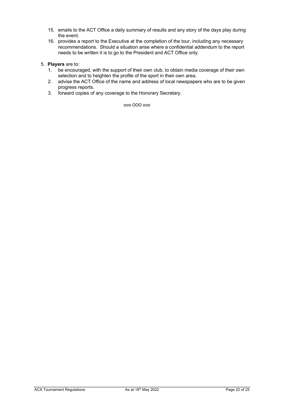- 15. emails to the ACT Office a daily summary of results and any story of the days play during the event.
- 16. provides a report to the Executive at the completion of the tour, including any necessary recommendations. Should a situation arise where a confidential addendum to the report needs to be written it is to go to the President and ACT Office only.
- 5. **Players** are to:
	- 1. be encouraged, with the support of their own club, to obtain media coverage of their own selection and to heighten the profile of the sport in their own area.
	- 2. advise the ACT Office of the name and address of local newspapers who are to be given progress reports.
	- 3. forward copies of any coverage to the Honorary Secretary.

#### ooo OOO ooo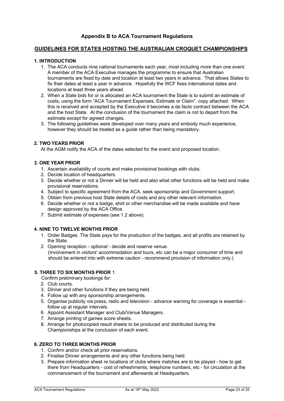## **Appendix B to ACA Tournament Regulations**

## **GUIDELINES FOR STATES HOSTING THE AUSTRALIAN CROQUET CHAMPIONSHIPS**

## **1. INTRODUCTION**

- 1. The ACA conducts nine national tournaments each year, most including more than one event. A member of the ACA Executive manages the programme to ensure that Australian tournaments are fixed by date and location at least two years in advance. That allows States to fix their dates at least a year in advance. Hopefully the WCF fixes international dates and locations at least three years ahead.
- 2. When a State bids for or is allocated an ACA tournament the State is to submit an estimate of costs, using the form "ACA Tournament Expenses, Estimate or Claim", copy attached. When this is received and accepted by the Executive it becomes a de facto contract between the ACA and the host State. At the conclusion of the tournament the claim is not to depart from the estimate except for agreed changes.
- 3. The following guidelines were developed over many years and embody much experience, however they should be treated as a guide rather than being mandatory.

## **2. TWO YEARS PRIOR**

At the AGM notify the ACA of the dates selected for the event and proposed location.

## **3. ONE YEAR PRIOR**

- 1. Ascertain availability of courts and make provisional bookings with clubs.
- 2. Decide location of headquarters.
- 3. Decide whether or not a Dinner will be held and also what other functions will be held and make provisional reservations.
- 4. Subject to specific agreement from the ACA, seek sponsorship and Government support.
- 5. Obtain from previous host State details of costs and any other relevant information.
- 6. Decide whether or not a badge, shirt or other merchandise will be made available and have design approved by the ACA Office.
- 7. Submit estimate of expenses (see 1.2 above).

## **4. NINE TO TWELVE MONTHS PRIOR**

- 1. Order Badges. The State pays for the production of the badges, and all profits are retained by the State.
- 2. Opening reception optional decide and reserve venue. (Involvement in visitors' accommodation and tours, etc can be a major consumer of time and should be entered into with extreme caution - recommend provision of information only.)

## **5. THREE TO SIX MONTHS PRIOR** 1.

Confirm preliminary bookings for:

- 2. Club courts.
- 3. Dinner and other functions if they are being held.
- 4. Follow up with any sponsorship arrangements.
- 5. Organise publicity via press, radio and television advance warning for coverage is essential follow up at regular intervals.
- 6. Appoint Assistant Manager and Club/Venue Managers.
- 7. Arrange printing of games score sheets.
- 8. Arrange for photocopied result sheets to be produced and distributed during the Championships at the conclusion of each event.

## **6. ZERO TO THREE MONTHS PRIOR**

- 1. Confirm and/or check all prior reservations.
- 2. Finalise Dinner arrangements and any other functions being held.
- 3. Prepare information sheet re locations of clubs where matches are to be played how to get there from Headquarters - cost of refreshments, telephone numbers, etc - for circulation at the commencement of the tournament and afterwards at Headquarters.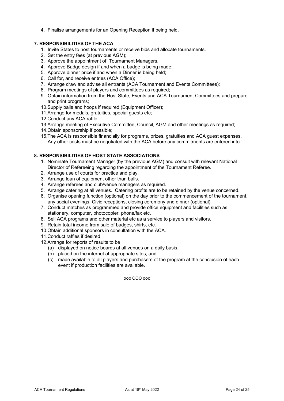4. Finalise arrangements for an Opening Reception if being held.

## **7. RESPONSIBILITIES OF THE ACA**

- 1. Invite States to host tournaments or receive bids and allocate tournaments.
- 2. Set the entry fees (at previous AGM);
- 3. Approve the appointment of Tournament Managers.
- 4. Approve Badge design if and when a badge is being made;
- 5. Approve dinner price if and when a Dinner is being held;
- 6. Call for, and receive entries (ACA Office);
- 7. Arrange draw and advise all entrants (ACA Tournament and Events Committees);
- 8. Program meetings of players and committees as required;
- 9. Obtain information from the Host State, Events and ACA Tournament Committees and prepare and print programs;
- 10.Supply balls and hoops if required (Equipment Officer);
- 11.Arrange for medals, gratuities, special guests etc;
- 12.Conduct any ACA raffle;
- 13.Arrange meeting of Executive Committee, Council, AGM and other meetings as required;
- 14.Obtain sponsorship if possible;
- 15.The ACA is responsible financially for programs, prizes, gratuities and ACA guest expenses. Any other costs must be negotiated with the ACA before any commitments are entered into.

## **8. RESPONSIBILITIES OF HOST STATE ASSOCIATIONS**

- 1. Nominate Tournament Manager (by the previous AGM) and consult with relevant National Director of Refereeing regarding the appointment of the Tournament Referee.
- 2. Arrange use of courts for practice and play.
- 3. Arrange loan of equipment other than balls.
- 4. Arrange referees and club/venue managers as required.
- 5. Arrange catering at all venues. Catering profits are to be retained by the venue concerned.
- 6. Organise opening function (optional) on the day prior to the commencement of the tournament, any social evenings, Civic receptions, closing ceremony and dinner (optional).
- 7. Conduct matches as programmed and provide office equipment and facilities such as stationery, computer, photocopier, phone/fax etc.
- 8. Sell ACA programs and other material etc as a service to players and visitors.
- 9. Retain total income from sale of badges, shirts, etc.
- 10.Obtain additional sponsors in consultation with the ACA.
- 11.Conduct raffles if desired.
- 12.Arrange for reports of results to be
	- (a) displayed on notice boards at all venues on a daily basis,
	- (b) placed on the internet at appropriate sites, and
	- (c) made available to all players and purchasers of the program at the conclusion of each event if production facilities are available.

ooo OOO ooo